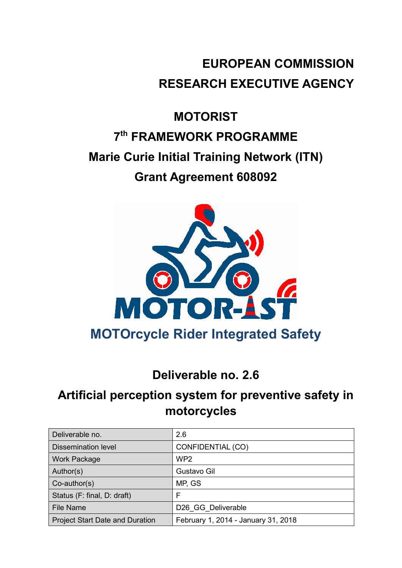## **EUROPEAN COMMISSION RESEARCH EXECUTIVE AGENCY**

# **MOTORIST 7 th FRAMEWORK PROGRAMME Marie Curie Initial Training Network (ITN) Grant Agreement 608092**



### **Deliverable no. 2.6**

### **Artificial perception system for preventive safety in motorcycles**

| Deliverable no.                        | 2.6                                 |
|----------------------------------------|-------------------------------------|
| <b>Dissemination level</b>             | CONFIDENTIAL (CO)                   |
| <b>Work Package</b>                    | WP <sub>2</sub>                     |
| Author(s)                              | Gustavo Gil                         |
| $Co$ -author(s)                        | MP, GS                              |
| Status (F: final, D: draft)            | F                                   |
| <b>File Name</b>                       | D26 GG Deliverable                  |
| <b>Project Start Date and Duration</b> | February 1, 2014 - January 31, 2018 |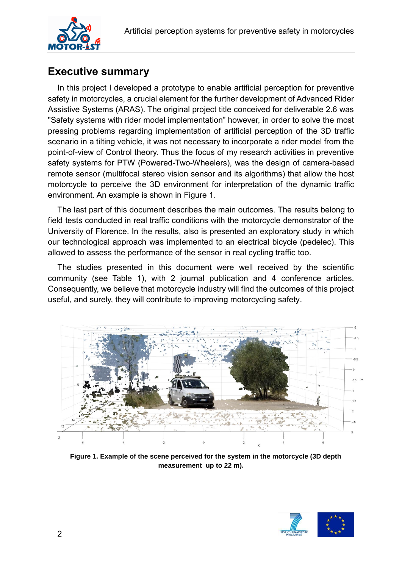



### **Executive summary**

In this project I developed a prototype to enable artificial perception for preventive safety in motorcycles, a crucial element for the further development of Advanced Rider Assistive Systems (ARAS). The original project title conceived for deliverable 2.6 was "Safety systems with rider model implementation" however, in order to solve the most pressing problems regarding implementation of artificial perception of the 3D traffic scenario in a tilting vehicle, it was not necessary to incorporate a rider model from the point-of-view of Control theory. Thus the focus of my research activities in preventive safety systems for PTW (Powered-Two-Wheelers), was the design of camera-based remote sensor (multifocal stereo vision sensor and its algorithms) that allow the host motorcycle to perceive the 3D environment for interpretation of the dynamic traffic environment. An example is shown in [Figure 1.](#page-1-0)

The last part of this document describes the main outcomes. The results belong to field tests conducted in real traffic conditions with the motorcycle demonstrator of the University of Florence. In the results, also is presented an exploratory study in which our technological approach was implemented to an electrical bicycle (pedelec). This allowed to assess the performance of the sensor in real cycling traffic too.

The studies presented in this document were well received by the scientific community (see [Table 1\)](#page-2-0), with 2 journal publication and 4 conference articles. Consequently, we believe that motorcycle industry will find the outcomes of this project useful, and surely, they will contribute to improving motorcycling safety.



**Figure 1. Example of the scene perceived for the system in the motorcycle (3D depth measurement up to 22 m).**

<span id="page-1-0"></span>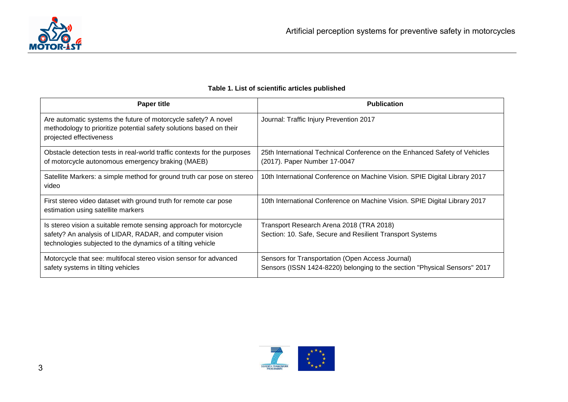

| <b>Paper title</b>                                                                                                                                                                            | <b>Publication</b>                                                                                                            |  |
|-----------------------------------------------------------------------------------------------------------------------------------------------------------------------------------------------|-------------------------------------------------------------------------------------------------------------------------------|--|
| Are automatic systems the future of motorcycle safety? A novel<br>methodology to prioritize potential safety solutions based on their<br>projected effectiveness                              | Journal: Traffic Injury Prevention 2017                                                                                       |  |
| Obstacle detection tests in real-world traffic contexts for the purposes<br>of motorcycle autonomous emergency braking (MAEB)                                                                 | 25th International Technical Conference on the Enhanced Safety of Vehicles<br>(2017). Paper Number 17-0047                    |  |
| Satellite Markers: a simple method for ground truth car pose on stereo<br>video                                                                                                               | 10th International Conference on Machine Vision. SPIE Digital Library 2017                                                    |  |
| First stereo video dataset with ground truth for remote car pose<br>estimation using satellite markers                                                                                        | 10th International Conference on Machine Vision. SPIE Digital Library 2017                                                    |  |
| Is stereo vision a suitable remote sensing approach for motorcycle<br>safety? An analysis of LIDAR, RADAR, and computer vision<br>technologies subjected to the dynamics of a tilting vehicle | Transport Research Arena 2018 (TRA 2018)<br>Section: 10. Safe, Secure and Resilient Transport Systems                         |  |
| Motorcycle that see: multifocal stereo vision sensor for advanced<br>safety systems in tilting vehicles                                                                                       | Sensors for Transportation (Open Access Journal)<br>Sensors (ISSN 1424-8220) belonging to the section "Physical Sensors" 2017 |  |

#### **Table 1. List of scientific articles published**

<span id="page-2-0"></span>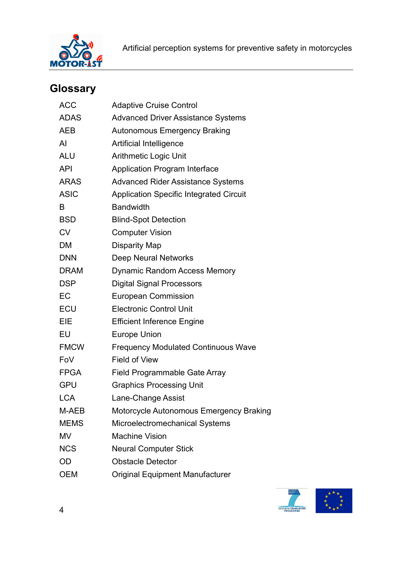

## **Glossary**

| <b>ACC</b>  | <b>Adaptive Cruise Control</b>                 |
|-------------|------------------------------------------------|
| <b>ADAS</b> | <b>Advanced Driver Assistance Systems</b>      |
| <b>AEB</b>  | <b>Autonomous Emergency Braking</b>            |
| AI          | <b>Artificial Intelligence</b>                 |
| <b>ALU</b>  | <b>Arithmetic Logic Unit</b>                   |
| <b>API</b>  | <b>Application Program Interface</b>           |
| <b>ARAS</b> | <b>Advanced Rider Assistance Systems</b>       |
| <b>ASIC</b> | <b>Application Specific Integrated Circuit</b> |
| B           | <b>Bandwidth</b>                               |
| <b>BSD</b>  | <b>Blind-Spot Detection</b>                    |
| <b>CV</b>   | <b>Computer Vision</b>                         |
| <b>DM</b>   | Disparity Map                                  |
| <b>DNN</b>  | <b>Deep Neural Networks</b>                    |
| <b>DRAM</b> | <b>Dynamic Random Access Memory</b>            |
| <b>DSP</b>  | <b>Digital Signal Processors</b>               |
| EC          | <b>European Commission</b>                     |
| <b>ECU</b>  | <b>Electronic Control Unit</b>                 |
| EIE         | <b>Efficient Inference Engine</b>              |
| EU          | <b>Europe Union</b>                            |
| <b>FMCW</b> | <b>Frequency Modulated Continuous Wave</b>     |
| FoV         | <b>Field of View</b>                           |
| <b>FPGA</b> | Field Programmable Gate Array                  |
| <b>GPU</b>  | <b>Graphics Processing Unit</b>                |
| <b>LCA</b>  | Lane-Change Assist                             |
| M-AEB       | Motorcycle Autonomous Emergency Braking        |
| <b>MEMS</b> | Microelectromechanical Systems                 |
| <b>MV</b>   | <b>Machine Vision</b>                          |
| <b>NCS</b>  | <b>Neural Computer Stick</b>                   |
| <b>OD</b>   | <b>Obstacle Detector</b>                       |
| <b>OEM</b>  | <b>Original Equipment Manufacturer</b>         |
|             |                                                |

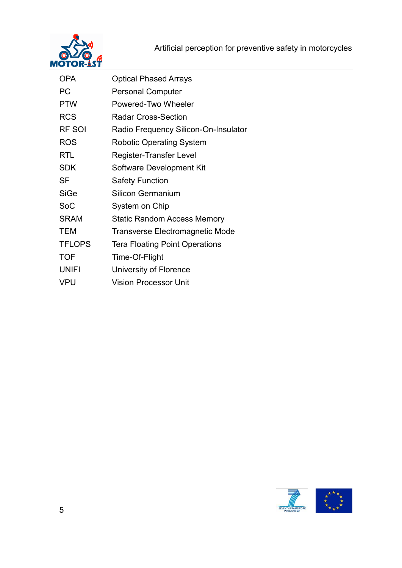

| <b>OPA</b>    | <b>Optical Phased Arrays</b>         |
|---------------|--------------------------------------|
| <b>PC</b>     | <b>Personal Computer</b>             |
| <b>PTW</b>    | Powered-Two Wheeler                  |
| <b>RCS</b>    | <b>Radar Cross-Section</b>           |
| <b>RF SOI</b> | Radio Frequency Silicon-On-Insulator |
| <b>ROS</b>    | <b>Robotic Operating System</b>      |
| <b>RTL</b>    | Register-Transfer Level              |
| <b>SDK</b>    | Software Development Kit             |
| SF            | <b>Safety Function</b>               |
| <b>SiGe</b>   | <b>Silicon Germanium</b>             |
| SoC           | System on Chip                       |
| <b>SRAM</b>   | <b>Static Random Access Memory</b>   |
| TEM           | Transverse Electromagnetic Mode      |
| <b>TFLOPS</b> | Tera Floating Point Operations       |
| <b>TOF</b>    | Time-Of-Flight                       |
| <b>UNIFI</b>  | University of Florence               |
| VPU           | <b>Vision Processor Unit</b>         |
|               |                                      |

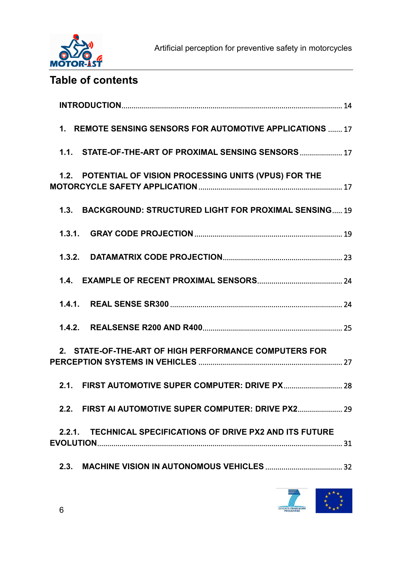

### **Table of contents**

| 1. REMOTE SENSING SENSORS FOR AUTOMOTIVE APPLICATIONS  17   |
|-------------------------------------------------------------|
| 1.1. STATE-OF-THE-ART OF PROXIMAL SENSING SENSORS 17        |
| 1.2. POTENTIAL OF VISION PROCESSING UNITS (VPUS) FOR THE    |
| 1.3. BACKGROUND: STRUCTURED LIGHT FOR PROXIMAL SENSING 19   |
|                                                             |
|                                                             |
|                                                             |
|                                                             |
|                                                             |
| 2. STATE-OF-THE-ART OF HIGH PERFORMANCE COMPUTERS FOR       |
| 2.1. FIRST AUTOMOTIVE SUPER COMPUTER: DRIVE PX              |
| 2.2. FIRST AI AUTOMOTIVE SUPER COMPUTER: DRIVE PX2          |
| 2.2.1. TECHNICAL SPECIFICATIONS OF DRIVE PX2 AND ITS FUTURE |
|                                                             |

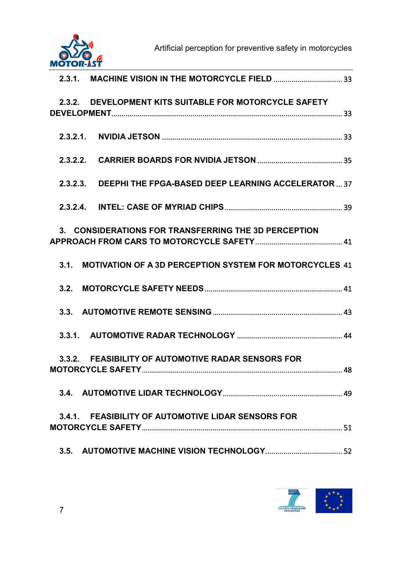

| 2.3.1. MACHINE VISION IN THE MOTORCYCLE FIELD  33                      |    |
|------------------------------------------------------------------------|----|
| 2.3.2. DEVELOPMENT KITS SUITABLE FOR MOTORCYCLE SAFETY                 |    |
|                                                                        |    |
|                                                                        |    |
| <b>DEEPHI THE FPGA-BASED DEEP LEARNING ACCELERATOR  37</b><br>2.3.2.3. |    |
|                                                                        |    |
| 3. CONSIDERATIONS FOR TRANSFERRING THE 3D PERCEPTION                   |    |
| 3.1. MOTIVATION OF A 3D PERCEPTION SYSTEM FOR MOTORCYCLES 41           |    |
|                                                                        |    |
|                                                                        |    |
|                                                                        |    |
| 3.3.2. FEASIBILITY OF AUTOMOTIVE RADAR SENSORS FOR                     | 48 |
|                                                                        |    |
| 3.4.1. FEASIBILITY OF AUTOMOTIVE LIDAR SENSORS FOR                     |    |
|                                                                        |    |